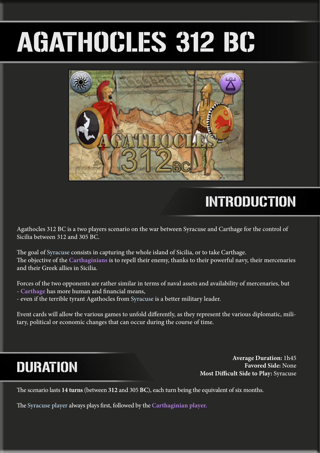# AGATHOCLES 312 BC



# INTRODUCTION

Agathocles 312 BC is a two players scenario on the war between Syracuse and Carthage for the control of Sicilia between 312 and 305 BC.

The goal of Syracuse consists in capturing the whole island of Sicilia, or to take Carthage. The objective of the **Carthaginians** is to repell their enemy, thanks to their powerful navy, their mercenaries and their Greek allies in Sicilia.

Forces of the two opponents are rather similar in terms of naval assets and availability of mercenaries, but - **Carthage** has more human and financial means,

- even if the terrible tyrant Agathocles from Syracuse is a better military leader.

Event cards will allow the various games to unfold differently, as they represent the various diplomatic, military, political or economic changes that can occur during the course of time.

# DURATION

**Average Duration:** 1h45 **Favored Side:** None **Most Difficult Side to Play:** Syracuse

The scenario lasts **14 turns** (between **312** and 305 **BC**), each turn being the equivalent of six months.

The Syracuse player always plays first, followed by the **Carthaginian player.**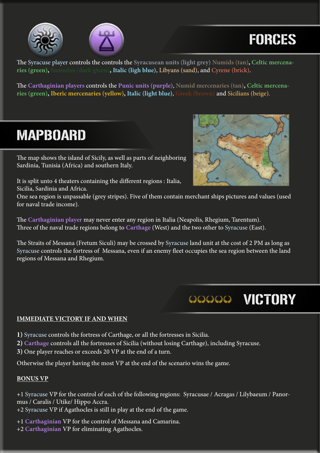



# FORCES

The Syracuse player controls the controls the **Syracusean units (light grey) Numids (tan), Celtic mercenaries (green), Samnites (dark gteen), Italic (ligh blue)**, Libyans (sand), and Cyrene (brick).

The **Carthaginian players** controls the **Punic units (purple)**, **Numid mercenaries (tan), Celtic mercenaries (green), Iberic mercenaries (yellow), Italic (light blue)**, **Greek (brown)** and Sicilians (beige).

# MAPBOARD

The map shows the island of Sicily, as well as parts of neighboring Sardinia, Tunisia (Africa) and southern Italy.



OOOOO VICTORY

It is split unto 4 theaters containing the different regions : Italia, Sicilia, Sardinia and Africa.

One sea region is unpassable (grey stripes). Five of them contain merchant ships pictures and values (used for naval trade income).

The **Carthaginian player** may never enter any region in Italia (Neapolis, Rhegium, Tarentum). Three of the naval trade regions belong to **Carthage** (West) and the two other to Syracuse (East).

The Straits of Messana (Fretum Siculi) may be crossed by Syracuse land unit at the cost of 2 PM as long as Syracuse controls the fortress of Messana, even if an enemy fleet occupies the sea region between the land regions of Messana and Rhegium.

**IMMEDIATE VICTORY IF AND WHEN**

**1)** Syracuse controls the fortress of Carthage, or all the fortresses in Sicilia.

**2) Carthage** controls all the fortresses of Sicilia (without losing Carthage), including Syracuse.

**3)** One player reaches or exceeds 20 VP at the end of a turn.

Otherwise the player having the most VP at the end of the scenario wins the game.

### **BONUS VP**

+1 Syracuse VP for the control of each of the following regions: Syracusae / Acragas / Lilybaeum / Panormus / Caralis / Utike/ Hippo Accra.

+2 Syracuse VP if Agathocles is still in play at the end of the game.

+1 **Carthaginian** VP for the control of Messana and Camarina.

+2 **Carthaginian** VP for eliminating Agathocles.